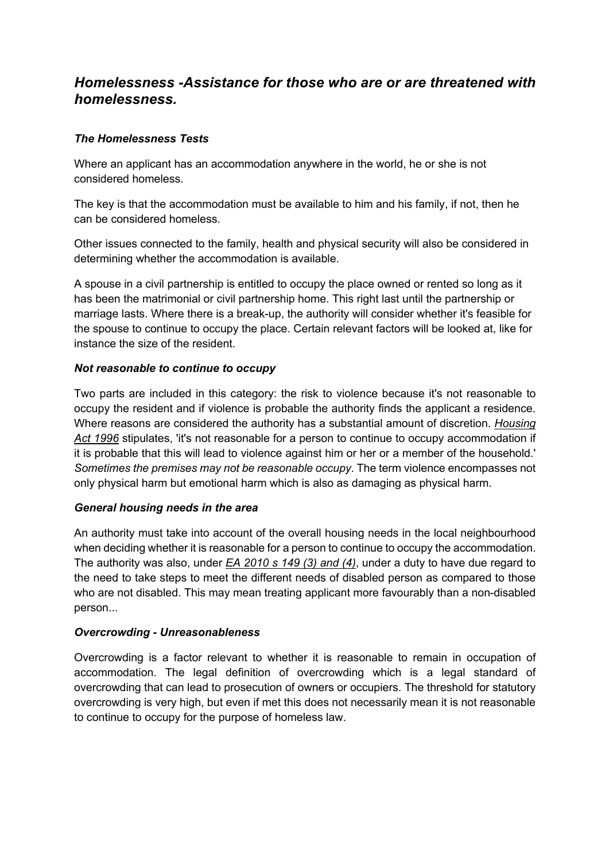# *Homelessness -Assistance for those who are or are threatened with homelessness.*

## *The Homelessness Tests*

Where an applicant has an accommodation anywhere in the world, he or she is not considered homeless.

The key is that the accommodation must be available to him and his family, if not, then he can be considered homeless.

Other issues connected to the family, health and physical security will also be considered in determining whether the accommodation is available.

A spouse in a civil partnership is entitled to occupy the place owned or rented so long as it has been the matrimonial or civil partnership home. This right last until the partnership or marriage lasts. Where there is a break-up, the authority will consider whether it's feasible for the spouse to continue to occupy the place. Certain relevant factors will be looked at, like for instance the size of the resident.

#### *Not reasonable to continue to occupy*

Two parts are included in this category: the risk to violence because it's not reasonable to occupy the resident and if violence is probable the authority finds the applicant a residence. Where reasons are considered the authority has a substantial amount of discretion. *Housing Act 1996* stipulates, 'it's not reasonable for a person to continue to occupy accommodation if it is probable that this will lead to violence against him or her or a member of the household.' *Sometimes the premises may not be reasonable occupy.* The term violence encompasses not only physical harm but emotional harm which is also as damaging as physical harm.

#### *General housing needs in the area*

An authority must take into account of the overall housing needs in the local neighbourhood when deciding whether it is reasonable for a person to continue to occupy the accommodation. The authority was also, under *EA 2010 s 149 (3) and (4)*, under a duty to have due regard to the need to take steps to meet the different needs of disabled person as compared to those who are not disabled. This may mean treating applicant more favourably than a non-disabled person...

#### *Overcrowding - Unreasonableness*

Overcrowding is a factor relevant to whether it is reasonable to remain in occupation of accommodation. The legal definition of overcrowding which is a legal standard of overcrowding that can lead to prosecution of owners or occupiers. The threshold for statutory overcrowding is very high, but even if met this does not necessarily mean it is not reasonable to continue to occupy for the purpose of homeless law.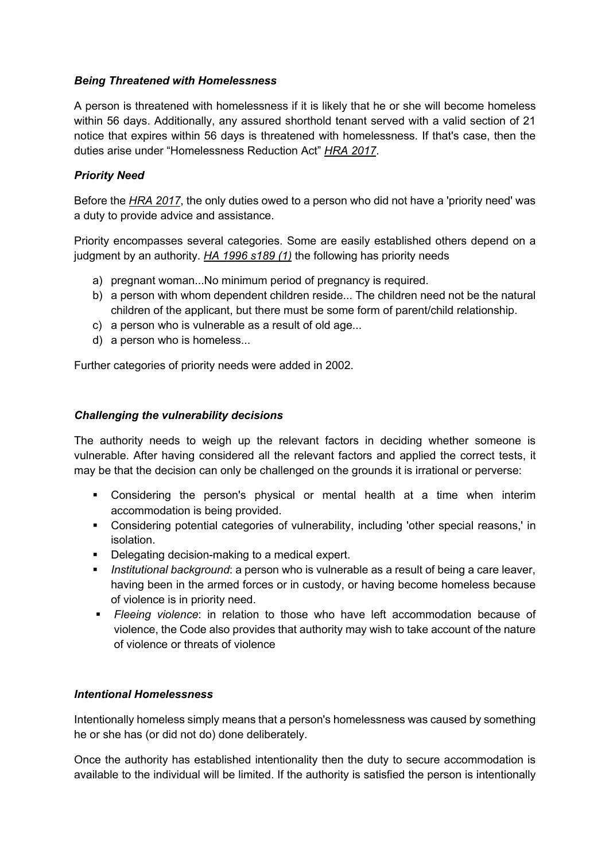## *Being Threatened with Homelessness*

A person is threatened with homelessness if it is likely that he or she will become homeless within 56 days. Additionally, any assured shorthold tenant served with a valid section of 21 notice that expires within 56 days is threatened with homelessness. If that's case, then the duties arise under "Homelessness Reduction Act" *HRA 2017*.

## *Priority Need*

Before the *HRA 2017*, the only duties owed to a person who did not have a 'priority need' was a duty to provide advice and assistance.

Priority encompasses several categories. Some are easily established others depend on a judgment by an authority. *HA 1996 s189 (1)* the following has priority needs

- a) pregnant woman...No minimum period of pregnancy is required.
- b) a person with whom dependent children reside... The children need not be the natural children of the applicant, but there must be some form of parent/child relationship.
- c) a person who is vulnerable as a result of old age...
- d) a person who is homeless...

Further categories of priority needs were added in 2002.

#### *Challenging the vulnerability decisions*

The authority needs to weigh up the relevant factors in deciding whether someone is vulnerable. After having considered all the relevant factors and applied the correct tests, it may be that the decision can only be challenged on the grounds it is irrational or perverse:

- § Considering the person's physical or mental health at a time when interim accommodation is being provided.
- § Considering potential categories of vulnerability, including 'other special reasons,' in isolation.
- Delegating decision-making to a medical expert.
- **•** *Institutional background*: a person who is vulnerable as a result of being a care leaver, having been in the armed forces or in custody, or having become homeless because of violence is in priority need.
- § *Fleeing violence*: in relation to those who have left accommodation because of violence, the Code also provides that authority may wish to take account of the nature of violence or threats of violence

## *Intentional Homelessness*

Intentionally homeless simply means that a person's homelessness was caused by something he or she has (or did not do) done deliberately.

Once the authority has established intentionality then the duty to secure accommodation is available to the individual will be limited. If the authority is satisfied the person is intentionally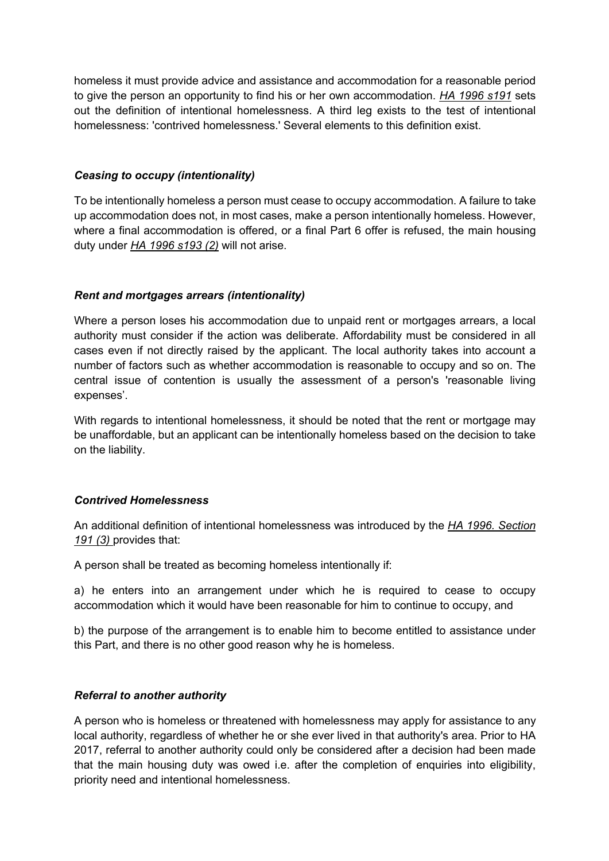homeless it must provide advice and assistance and accommodation for a reasonable period to give the person an opportunity to find his or her own accommodation. *HA 1996 s191* sets out the definition of intentional homelessness. A third leg exists to the test of intentional homelessness: 'contrived homelessness.' Several elements to this definition exist.

#### *Ceasing to occupy (intentionality)*

To be intentionally homeless a person must cease to occupy accommodation. A failure to take up accommodation does not, in most cases, make a person intentionally homeless. However, where a final accommodation is offered, or a final Part 6 offer is refused, the main housing duty under *HA 1996 s193 (2)* will not arise.

#### *Rent and mortgages arrears (intentionality)*

Where a person loses his accommodation due to unpaid rent or mortgages arrears, a local authority must consider if the action was deliberate. Affordability must be considered in all cases even if not directly raised by the applicant. The local authority takes into account a number of factors such as whether accommodation is reasonable to occupy and so on. The central issue of contention is usually the assessment of a person's 'reasonable living expenses'.

With regards to intentional homelessness, it should be noted that the rent or mortgage may be unaffordable, but an applicant can be intentionally homeless based on the decision to take on the liability.

#### *Contrived Homelessness*

An additional definition of intentional homelessness was introduced by the *HA 1996. Section 191 (3)* provides that:

A person shall be treated as becoming homeless intentionally if:

a) he enters into an arrangement under which he is required to cease to occupy accommodation which it would have been reasonable for him to continue to occupy, and

b) the purpose of the arrangement is to enable him to become entitled to assistance under this Part, and there is no other good reason why he is homeless.

#### *Referral to another authority*

A person who is homeless or threatened with homelessness may apply for assistance to any local authority, regardless of whether he or she ever lived in that authority's area. Prior to HA 2017, referral to another authority could only be considered after a decision had been made that the main housing duty was owed i.e. after the completion of enquiries into eligibility, priority need and intentional homelessness.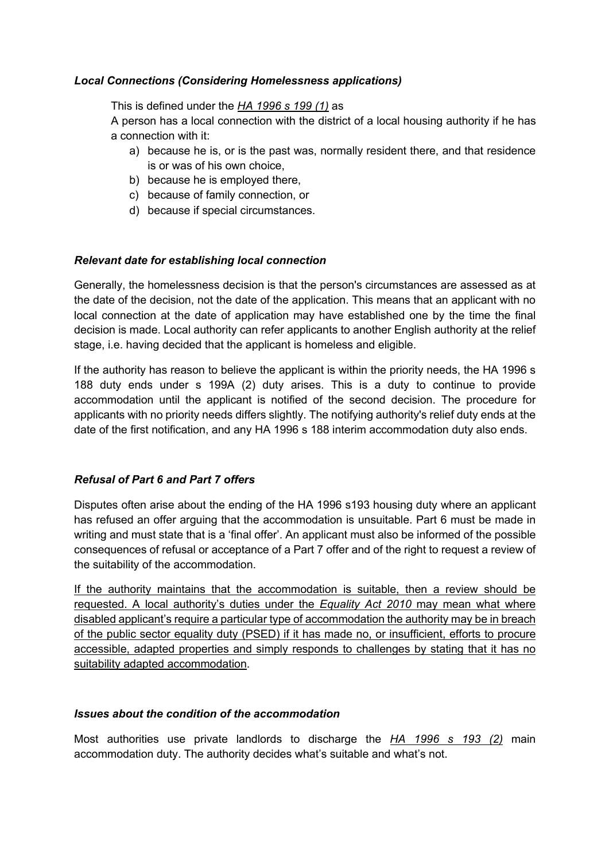#### *Local Connections (Considering Homelessness applications)*

This is defined under the *HA 1996 s 199 (1)* as

A person has a local connection with the district of a local housing authority if he has a connection with it:

- a) because he is, or is the past was, normally resident there, and that residence is or was of his own choice,
- b) because he is employed there,
- c) because of family connection, or
- d) because if special circumstances.

#### *Relevant date for establishing local connection*

Generally, the homelessness decision is that the person's circumstances are assessed as at the date of the decision, not the date of the application. This means that an applicant with no local connection at the date of application may have established one by the time the final decision is made. Local authority can refer applicants to another English authority at the relief stage, i.e. having decided that the applicant is homeless and eligible.

If the authority has reason to believe the applicant is within the priority needs, the HA 1996 s 188 duty ends under s 199A (2) duty arises. This is a duty to continue to provide accommodation until the applicant is notified of the second decision. The procedure for applicants with no priority needs differs slightly. The notifying authority's relief duty ends at the date of the first notification, and any HA 1996 s 188 interim accommodation duty also ends.

#### *Refusal of Part 6 and Part 7 offers*

Disputes often arise about the ending of the HA 1996 s193 housing duty where an applicant has refused an offer arguing that the accommodation is unsuitable. Part 6 must be made in writing and must state that is a 'final offer'. An applicant must also be informed of the possible consequences of refusal or acceptance of a Part 7 offer and of the right to request a review of the suitability of the accommodation.

If the authority maintains that the accommodation is suitable, then a review should be requested. A local authority's duties under the *Equality Act 2010* may mean what where disabled applicant's require a particular type of accommodation the authority may be in breach of the public sector equality duty (PSED) if it has made no, or insufficient, efforts to procure accessible, adapted properties and simply responds to challenges by stating that it has no suitability adapted accommodation.

#### *Issues about the condition of the accommodation*

Most authorities use private landlords to discharge the *HA 1996 s 193 (2)* main accommodation duty. The authority decides what's suitable and what's not.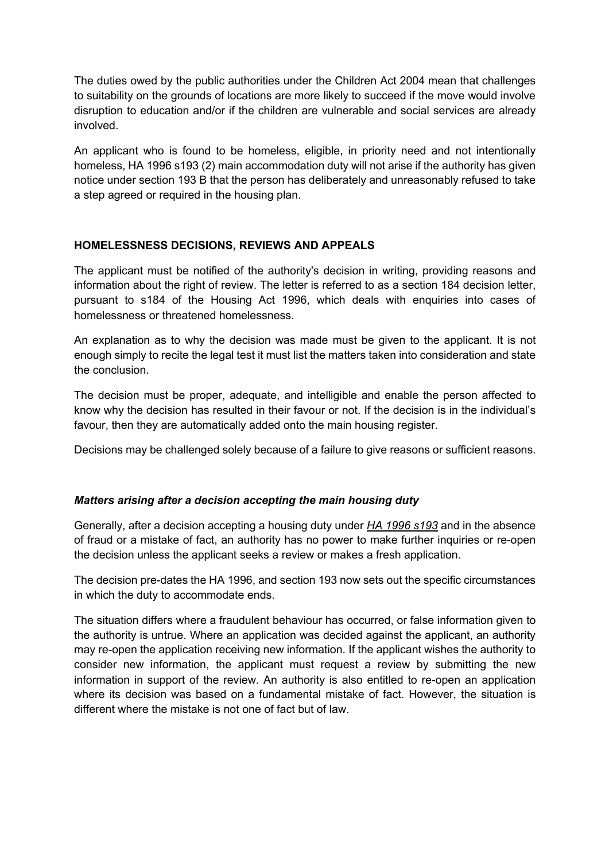The duties owed by the public authorities under the Children Act 2004 mean that challenges to suitability on the grounds of locations are more likely to succeed if the move would involve disruption to education and/or if the children are vulnerable and social services are already involved.

An applicant who is found to be homeless, eligible, in priority need and not intentionally homeless, HA 1996 s193 (2) main accommodation duty will not arise if the authority has given notice under section 193 B that the person has deliberately and unreasonably refused to take a step agreed or required in the housing plan.

#### **HOMELESSNESS DECISIONS, REVIEWS AND APPEALS**

The applicant must be notified of the authority's decision in writing, providing reasons and information about the right of review. The letter is referred to as a section 184 decision letter, pursuant to s184 of the Housing Act 1996, which deals with enquiries into cases of homelessness or threatened homelessness.

An explanation as to why the decision was made must be given to the applicant. It is not enough simply to recite the legal test it must list the matters taken into consideration and state the conclusion.

The decision must be proper, adequate, and intelligible and enable the person affected to know why the decision has resulted in their favour or not. If the decision is in the individual's favour, then they are automatically added onto the main housing register.

Decisions may be challenged solely because of a failure to give reasons or sufficient reasons.

#### *Matters arising after a decision accepting the main housing duty*

Generally, after a decision accepting a housing duty under *HA 1996 s193* and in the absence of fraud or a mistake of fact, an authority has no power to make further inquiries or re-open the decision unless the applicant seeks a review or makes a fresh application.

The decision pre-dates the HA 1996, and section 193 now sets out the specific circumstances in which the duty to accommodate ends.

The situation differs where a fraudulent behaviour has occurred, or false information given to the authority is untrue. Where an application was decided against the applicant, an authority may re-open the application receiving new information. If the applicant wishes the authority to consider new information, the applicant must request a review by submitting the new information in support of the review. An authority is also entitled to re-open an application where its decision was based on a fundamental mistake of fact. However, the situation is different where the mistake is not one of fact but of law.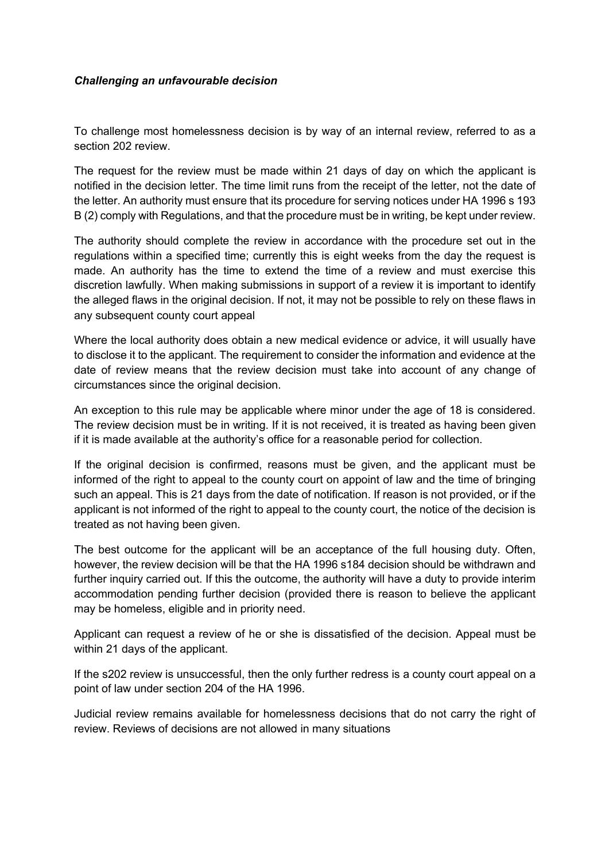#### *Challenging an unfavourable decision*

To challenge most homelessness decision is by way of an internal review, referred to as a section 202 review.

The request for the review must be made within 21 days of day on which the applicant is notified in the decision letter. The time limit runs from the receipt of the letter, not the date of the letter. An authority must ensure that its procedure for serving notices under HA 1996 s 193 B (2) comply with Regulations, and that the procedure must be in writing, be kept under review.

The authority should complete the review in accordance with the procedure set out in the regulations within a specified time; currently this is eight weeks from the day the request is made. An authority has the time to extend the time of a review and must exercise this discretion lawfully. When making submissions in support of a review it is important to identify the alleged flaws in the original decision. If not, it may not be possible to rely on these flaws in any subsequent county court appeal

Where the local authority does obtain a new medical evidence or advice, it will usually have to disclose it to the applicant. The requirement to consider the information and evidence at the date of review means that the review decision must take into account of any change of circumstances since the original decision.

An exception to this rule may be applicable where minor under the age of 18 is considered. The review decision must be in writing. If it is not received, it is treated as having been given if it is made available at the authority's office for a reasonable period for collection.

If the original decision is confirmed, reasons must be given, and the applicant must be informed of the right to appeal to the county court on appoint of law and the time of bringing such an appeal. This is 21 days from the date of notification. If reason is not provided, or if the applicant is not informed of the right to appeal to the county court, the notice of the decision is treated as not having been given.

The best outcome for the applicant will be an acceptance of the full housing duty. Often, however, the review decision will be that the HA 1996 s184 decision should be withdrawn and further inquiry carried out. If this the outcome, the authority will have a duty to provide interim accommodation pending further decision (provided there is reason to believe the applicant may be homeless, eligible and in priority need.

Applicant can request a review of he or she is dissatisfied of the decision. Appeal must be within 21 days of the applicant.

If the s202 review is unsuccessful, then the only further redress is a county court appeal on a point of law under section 204 of the HA 1996.

Judicial review remains available for homelessness decisions that do not carry the right of review. Reviews of decisions are not allowed in many situations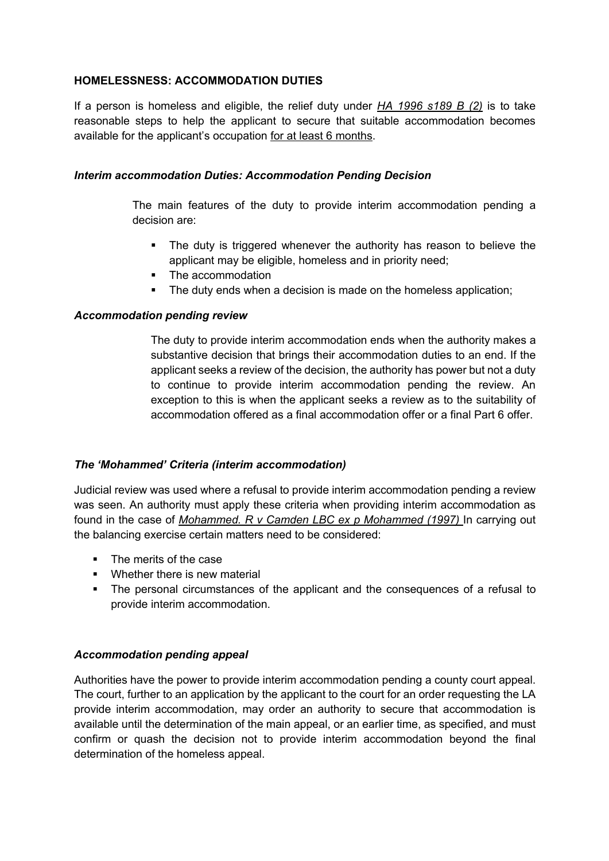## **HOMELESSNESS: ACCOMMODATION DUTIES**

If a person is homeless and eligible, the relief duty under *HA 1996 s189 B (2)* is to take reasonable steps to help the applicant to secure that suitable accommodation becomes available for the applicant's occupation for at least 6 months.

#### *Interim accommodation Duties: Accommodation Pending Decision*

The main features of the duty to provide interim accommodation pending a decision are:

- The duty is triggered whenever the authority has reason to believe the applicant may be eligible, homeless and in priority need;
- The accommodation
- The duty ends when a decision is made on the homeless application:

#### *Accommodation pending review*

The duty to provide interim accommodation ends when the authority makes a substantive decision that brings their accommodation duties to an end. If the applicant seeks a review of the decision, the authority has power but not a duty to continue to provide interim accommodation pending the review. An exception to this is when the applicant seeks a review as to the suitability of accommodation offered as a final accommodation offer or a final Part 6 offer.

#### *The 'Mohammed' Criteria (interim accommodation)*

Judicial review was used where a refusal to provide interim accommodation pending a review was seen. An authority must apply these criteria when providing interim accommodation as found in the case of *Mohammed. R v Camden LBC ex p Mohammed (1997)* In carrying out the balancing exercise certain matters need to be considered:

- The merits of the case
- **•** Whether there is new material
- The personal circumstances of the applicant and the consequences of a refusal to provide interim accommodation.

#### *Accommodation pending appeal*

Authorities have the power to provide interim accommodation pending a county court appeal. The court, further to an application by the applicant to the court for an order requesting the LA provide interim accommodation, may order an authority to secure that accommodation is available until the determination of the main appeal, or an earlier time, as specified, and must confirm or quash the decision not to provide interim accommodation beyond the final determination of the homeless appeal.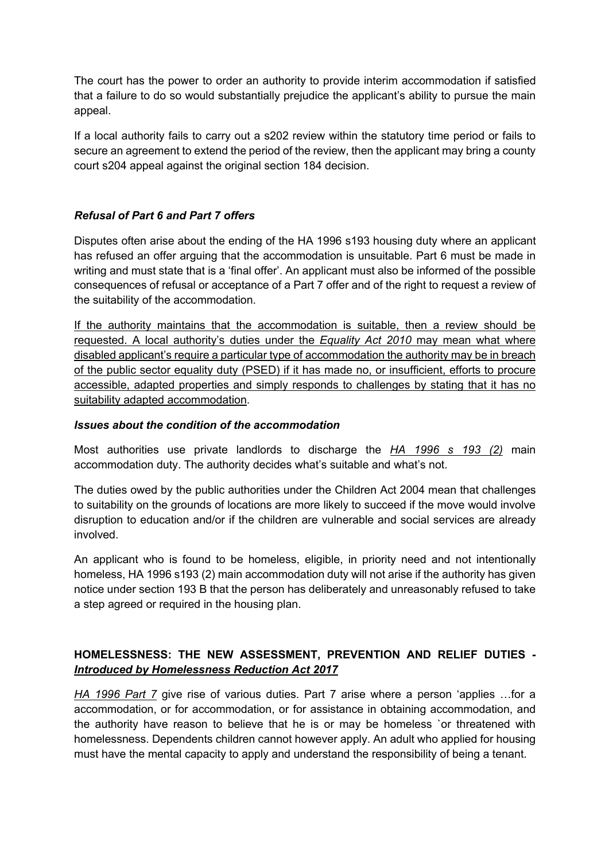The court has the power to order an authority to provide interim accommodation if satisfied that a failure to do so would substantially prejudice the applicant's ability to pursue the main appeal.

If a local authority fails to carry out a s202 review within the statutory time period or fails to secure an agreement to extend the period of the review, then the applicant may bring a county court s204 appeal against the original section 184 decision.

## *Refusal of Part 6 and Part 7 offers*

Disputes often arise about the ending of the HA 1996 s193 housing duty where an applicant has refused an offer arguing that the accommodation is unsuitable. Part 6 must be made in writing and must state that is a 'final offer'. An applicant must also be informed of the possible consequences of refusal or acceptance of a Part 7 offer and of the right to request a review of the suitability of the accommodation.

If the authority maintains that the accommodation is suitable, then a review should be requested. A local authority's duties under the *Equality Act 2010* may mean what where disabled applicant's require a particular type of accommodation the authority may be in breach of the public sector equality duty (PSED) if it has made no, or insufficient, efforts to procure accessible, adapted properties and simply responds to challenges by stating that it has no suitability adapted accommodation.

## *Issues about the condition of the accommodation*

Most authorities use private landlords to discharge the *HA 1996 s 193 (2)* main accommodation duty. The authority decides what's suitable and what's not.

The duties owed by the public authorities under the Children Act 2004 mean that challenges to suitability on the grounds of locations are more likely to succeed if the move would involve disruption to education and/or if the children are vulnerable and social services are already involved.

An applicant who is found to be homeless, eligible, in priority need and not intentionally homeless, HA 1996 s193 (2) main accommodation duty will not arise if the authority has given notice under section 193 B that the person has deliberately and unreasonably refused to take a step agreed or required in the housing plan.

## **HOMELESSNESS: THE NEW ASSESSMENT, PREVENTION AND RELIEF DUTIES** *- Introduced by Homelessness Reduction Act 2017*

*HA 1996 Part 7* give rise of various duties. Part 7 arise where a person 'applies …for a accommodation, or for accommodation, or for assistance in obtaining accommodation, and the authority have reason to believe that he is or may be homeless `or threatened with homelessness. Dependents children cannot however apply. An adult who applied for housing must have the mental capacity to apply and understand the responsibility of being a tenant.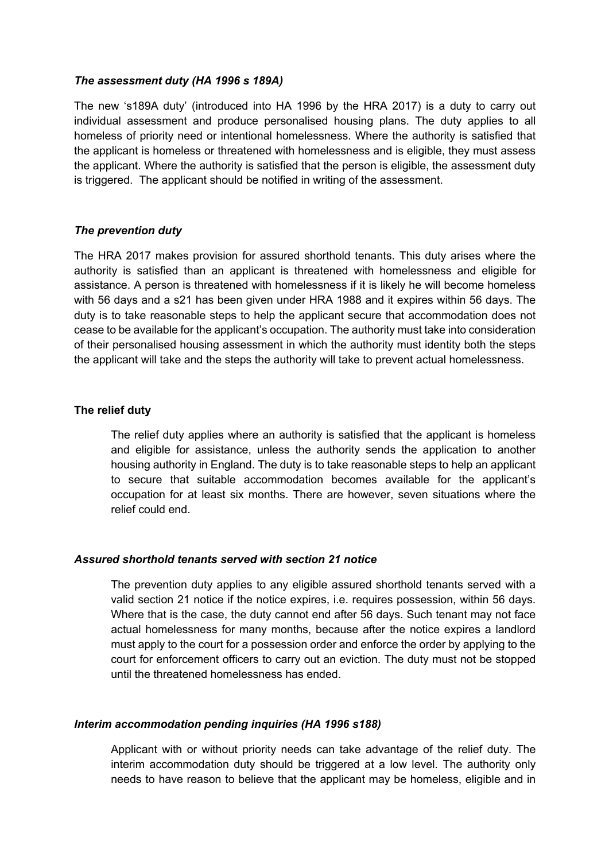#### *The assessment duty (HA 1996 s 189A)*

The new 's189A duty' (introduced into HA 1996 by the HRA 2017) is a duty to carry out individual assessment and produce personalised housing plans. The duty applies to all homeless of priority need or intentional homelessness. Where the authority is satisfied that the applicant is homeless or threatened with homelessness and is eligible, they must assess the applicant. Where the authority is satisfied that the person is eligible, the assessment duty is triggered. The applicant should be notified in writing of the assessment.

#### *The prevention duty*

The HRA 2017 makes provision for assured shorthold tenants. This duty arises where the authority is satisfied than an applicant is threatened with homelessness and eligible for assistance. A person is threatened with homelessness if it is likely he will become homeless with 56 days and a s21 has been given under HRA 1988 and it expires within 56 days. The duty is to take reasonable steps to help the applicant secure that accommodation does not cease to be available for the applicant's occupation. The authority must take into consideration of their personalised housing assessment in which the authority must identity both the steps the applicant will take and the steps the authority will take to prevent actual homelessness.

#### **The relief duty**

The relief duty applies where an authority is satisfied that the applicant is homeless and eligible for assistance, unless the authority sends the application to another housing authority in England. The duty is to take reasonable steps to help an applicant to secure that suitable accommodation becomes available for the applicant's occupation for at least six months. There are however, seven situations where the relief could end.

#### *Assured shorthold tenants served with section 21 notice*

The prevention duty applies to any eligible assured shorthold tenants served with a valid section 21 notice if the notice expires, i.e. requires possession, within 56 days. Where that is the case, the duty cannot end after 56 days. Such tenant may not face actual homelessness for many months, because after the notice expires a landlord must apply to the court for a possession order and enforce the order by applying to the court for enforcement officers to carry out an eviction. The duty must not be stopped until the threatened homelessness has ended.

#### *Interim accommodation pending inquiries (HA 1996 s188)*

Applicant with or without priority needs can take advantage of the relief duty. The interim accommodation duty should be triggered at a low level. The authority only needs to have reason to believe that the applicant may be homeless, eligible and in